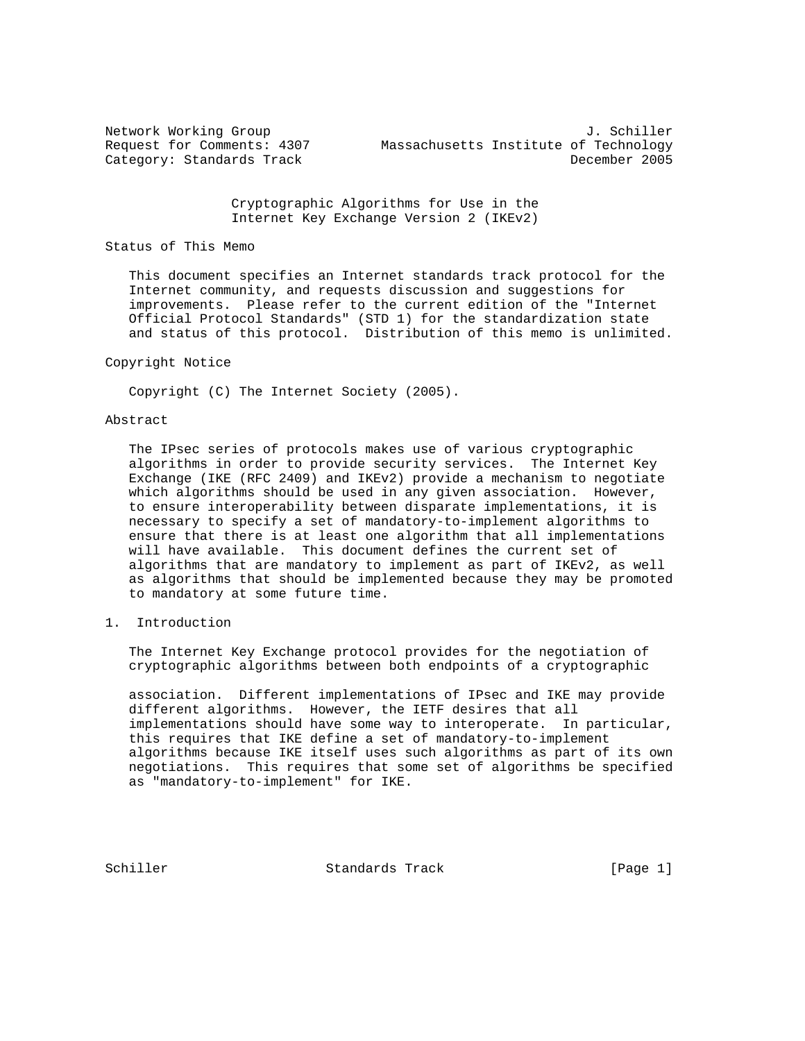Network Working Group 3. Schiller Request for Comments: 4307 Massachusetts Institute of Technology Category: Standards Track December 2005

> Cryptographic Algorithms for Use in the Internet Key Exchange Version 2 (IKEv2)

#### Status of This Memo

 This document specifies an Internet standards track protocol for the Internet community, and requests discussion and suggestions for improvements. Please refer to the current edition of the "Internet Official Protocol Standards" (STD 1) for the standardization state and status of this protocol. Distribution of this memo is unlimited.

#### Copyright Notice

Copyright (C) The Internet Society (2005).

#### Abstract

 The IPsec series of protocols makes use of various cryptographic algorithms in order to provide security services. The Internet Key Exchange (IKE (RFC 2409) and IKEv2) provide a mechanism to negotiate which algorithms should be used in any given association. However, to ensure interoperability between disparate implementations, it is necessary to specify a set of mandatory-to-implement algorithms to ensure that there is at least one algorithm that all implementations will have available. This document defines the current set of algorithms that are mandatory to implement as part of IKEv2, as well as algorithms that should be implemented because they may be promoted to mandatory at some future time.

# 1. Introduction

 The Internet Key Exchange protocol provides for the negotiation of cryptographic algorithms between both endpoints of a cryptographic

 association. Different implementations of IPsec and IKE may provide different algorithms. However, the IETF desires that all implementations should have some way to interoperate. In particular, this requires that IKE define a set of mandatory-to-implement algorithms because IKE itself uses such algorithms as part of its own negotiations. This requires that some set of algorithms be specified as "mandatory-to-implement" for IKE.

Schiller Standards Track [Page 1]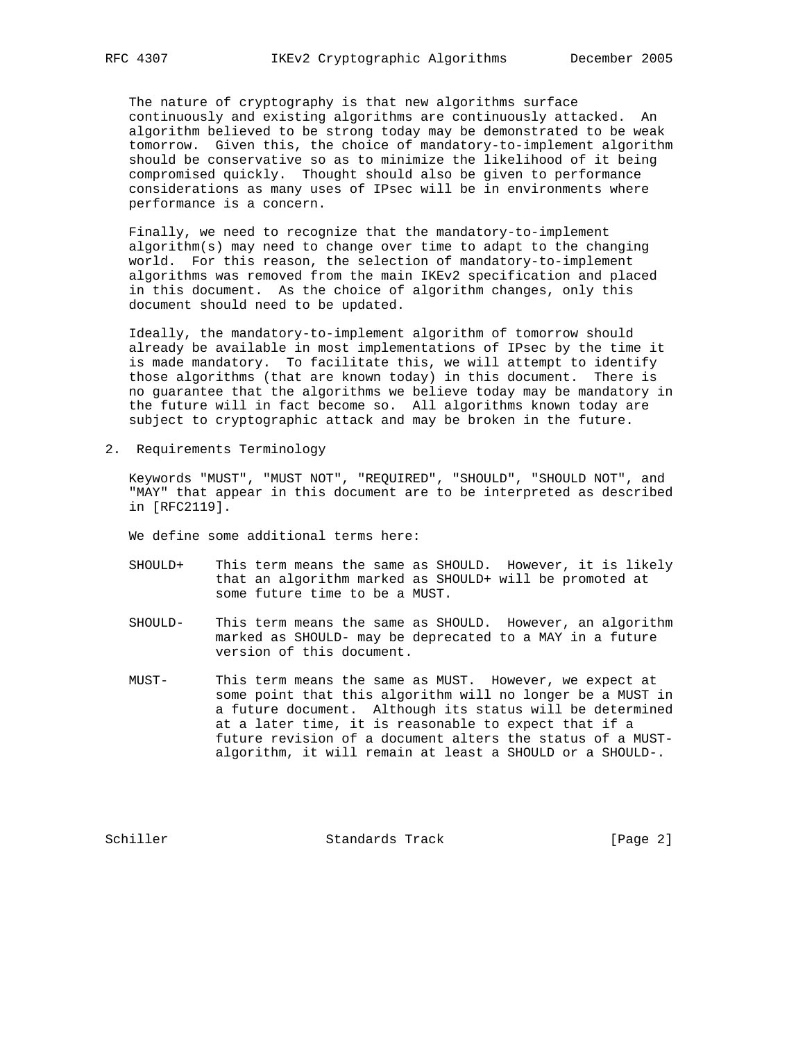The nature of cryptography is that new algorithms surface continuously and existing algorithms are continuously attacked. An algorithm believed to be strong today may be demonstrated to be weak tomorrow. Given this, the choice of mandatory-to-implement algorithm should be conservative so as to minimize the likelihood of it being compromised quickly. Thought should also be given to performance considerations as many uses of IPsec will be in environments where performance is a concern.

 Finally, we need to recognize that the mandatory-to-implement algorithm(s) may need to change over time to adapt to the changing world. For this reason, the selection of mandatory-to-implement algorithms was removed from the main IKEv2 specification and placed in this document. As the choice of algorithm changes, only this document should need to be updated.

 Ideally, the mandatory-to-implement algorithm of tomorrow should already be available in most implementations of IPsec by the time it is made mandatory. To facilitate this, we will attempt to identify those algorithms (that are known today) in this document. There is no guarantee that the algorithms we believe today may be mandatory in the future will in fact become so. All algorithms known today are subject to cryptographic attack and may be broken in the future.

2. Requirements Terminology

 Keywords "MUST", "MUST NOT", "REQUIRED", "SHOULD", "SHOULD NOT", and "MAY" that appear in this document are to be interpreted as described in [RFC2119].

We define some additional terms here:

- SHOULD+ This term means the same as SHOULD. However, it is likely that an algorithm marked as SHOULD+ will be promoted at some future time to be a MUST.
- SHOULD- This term means the same as SHOULD. However, an algorithm marked as SHOULD- may be deprecated to a MAY in a future version of this document.
- MUST- This term means the same as MUST. However, we expect at some point that this algorithm will no longer be a MUST in a future document. Although its status will be determined at a later time, it is reasonable to expect that if a future revision of a document alters the status of a MUST algorithm, it will remain at least a SHOULD or a SHOULD-.

Schiller Standards Track [Page 2]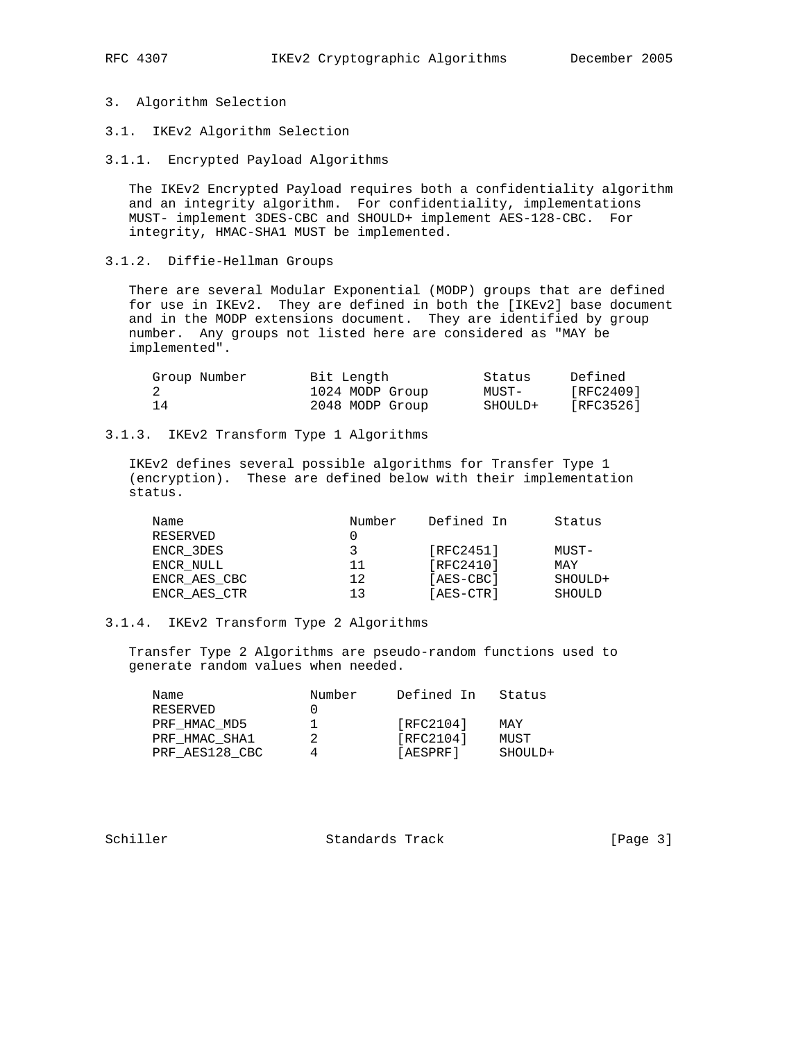- 3. Algorithm Selection
- 3.1. IKEv2 Algorithm Selection
- 3.1.1. Encrypted Payload Algorithms

 The IKEv2 Encrypted Payload requires both a confidentiality algorithm and an integrity algorithm. For confidentiality, implementations MUST- implement 3DES-CBC and SHOULD+ implement AES-128-CBC. For integrity, HMAC-SHA1 MUST be implemented.

3.1.2. Diffie-Hellman Groups

 There are several Modular Exponential (MODP) groups that are defined for use in IKEv2. They are defined in both the [IKEv2] base document and in the MODP extensions document. They are identified by group number. Any groups not listed here are considered as "MAY be implemented".

| Group Number | Bit Length      | Status  | Defined   |
|--------------|-----------------|---------|-----------|
|              | 1024 MODP Group | MUST-   | [RFC2409] |
| 14           | 2048 MODP Group | SHOULD+ | [RFC3526] |

## 3.1.3. IKEv2 Transform Type 1 Algorithms

 IKEv2 defines several possible algorithms for Transfer Type 1 (encryption). These are defined below with their implementation status.

| Name         | Number | Defined In | Status  |
|--------------|--------|------------|---------|
| RESERVED     |        |            |         |
| ENCR 3DES    | 3      | [RFC2451]  | MUST-   |
| ENCR NULL    | 11     | [RFC2410]  | MAY     |
| ENCR AES CBC | 12     | [AES-CBC]  | SHOULD+ |
| ENCR AES CTR | 1 ว    | [AES-CTR]  | SHOULD  |

## 3.1.4. IKEv2 Transform Type 2 Algorithms

 Transfer Type 2 Algorithms are pseudo-random functions used to generate random values when needed.

| Name           | Number | Defined In | Status  |
|----------------|--------|------------|---------|
| RESERVED       |        |            |         |
| PRF HMAC MD5   |        | [RFC2104]  | MAY     |
| PRF HMAC SHA1  | 2      | [RFC2104]  | MUST    |
| PRF AES128 CBC |        | [AESPRF]   | SHOULD+ |

Schiller Standards Track [Page 3]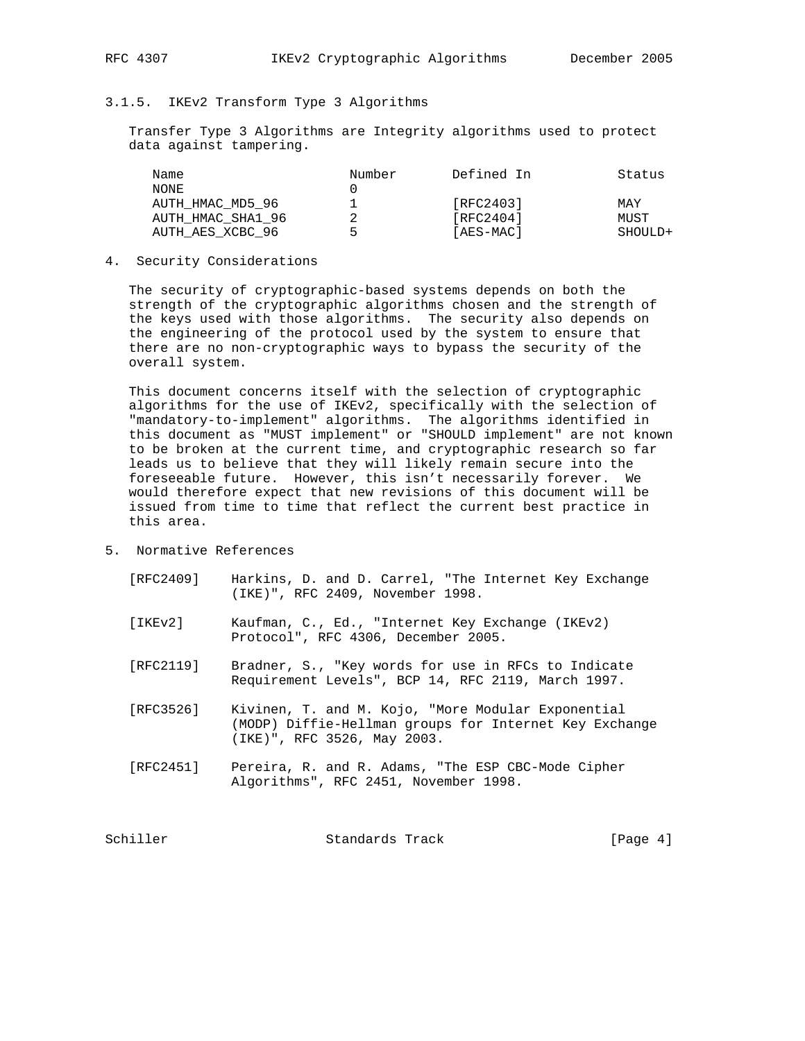# 3.1.5. IKEv2 Transform Type 3 Algorithms

 Transfer Type 3 Algorithms are Integrity algorithms used to protect data against tampering.

| Name              | Number | Defined In | Status  |
|-------------------|--------|------------|---------|
| NONE              |        |            |         |
| AUTH HMAC MD5 96  |        | [RFC2403]  | MAY     |
| AUTH HMAC SHA1 96 |        | [RFC2404]  | MUST    |
| AUTH AES XCBC 96  | ∽      | [AES-MAC]  | SHOULD+ |

4. Security Considerations

 The security of cryptographic-based systems depends on both the strength of the cryptographic algorithms chosen and the strength of the keys used with those algorithms. The security also depends on the engineering of the protocol used by the system to ensure that there are no non-cryptographic ways to bypass the security of the overall system.

 This document concerns itself with the selection of cryptographic algorithms for the use of IKEv2, specifically with the selection of "mandatory-to-implement" algorithms. The algorithms identified in this document as "MUST implement" or "SHOULD implement" are not known to be broken at the current time, and cryptographic research so far leads us to believe that they will likely remain secure into the foreseeable future. However, this isn't necessarily forever. We would therefore expect that new revisions of this document will be issued from time to time that reflect the current best practice in this area.

- 5. Normative References
	- [RFC2409] Harkins, D. and D. Carrel, "The Internet Key Exchange (IKE)", RFC 2409, November 1998.
	- [IKEv2] Kaufman, C., Ed., "Internet Key Exchange (IKEv2) Protocol", RFC 4306, December 2005.
	- [RFC2119] Bradner, S., "Key words for use in RFCs to Indicate Requirement Levels", BCP 14, RFC 2119, March 1997.
	- [RFC3526] Kivinen, T. and M. Kojo, "More Modular Exponential (MODP) Diffie-Hellman groups for Internet Key Exchange (IKE)", RFC 3526, May 2003.
	- [RFC2451] Pereira, R. and R. Adams, "The ESP CBC-Mode Cipher Algorithms", RFC 2451, November 1998.

| Schiller | Standards Track | [Page $4$ ] |  |
|----------|-----------------|-------------|--|
|          |                 |             |  |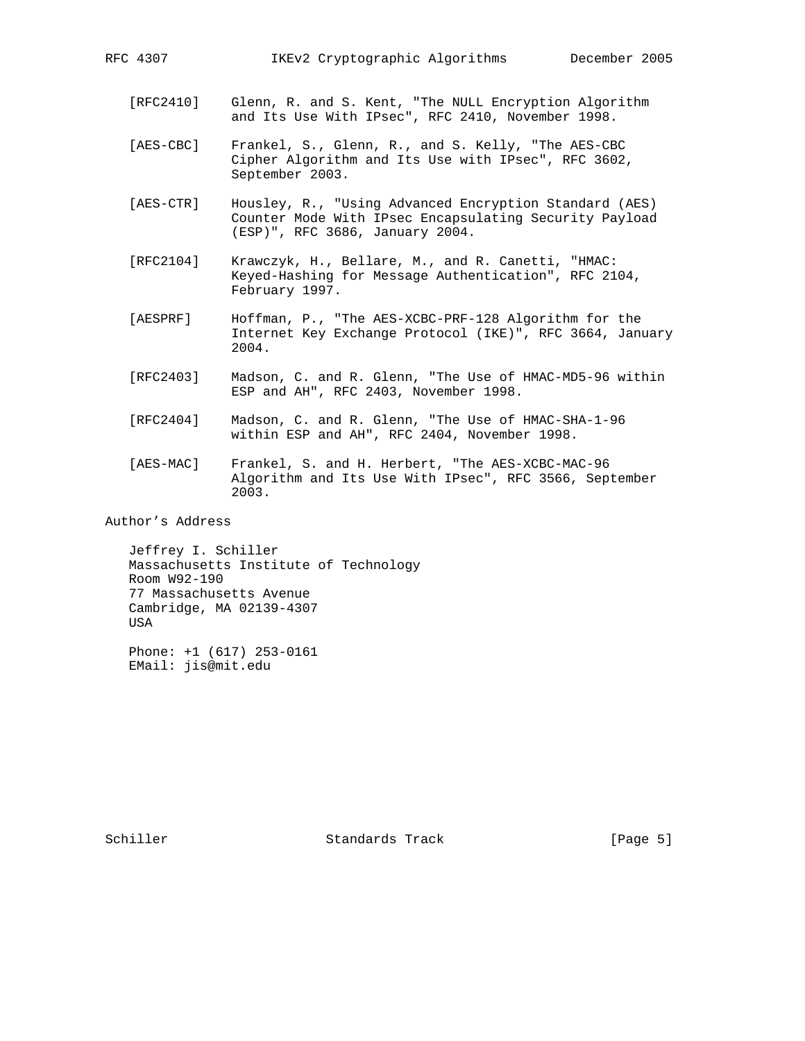- [RFC2410] Glenn, R. and S. Kent, "The NULL Encryption Algorithm and Its Use With IPsec", RFC 2410, November 1998.
- [AES-CBC] Frankel, S., Glenn, R., and S. Kelly, "The AES-CBC Cipher Algorithm and Its Use with IPsec", RFC 3602, September 2003.
- [AES-CTR] Housley, R., "Using Advanced Encryption Standard (AES) Counter Mode With IPsec Encapsulating Security Payload (ESP)", RFC 3686, January 2004.
- [RFC2104] Krawczyk, H., Bellare, M., and R. Canetti, "HMAC: Keyed-Hashing for Message Authentication", RFC 2104, February 1997.
- [AESPRF] Hoffman, P., "The AES-XCBC-PRF-128 Algorithm for the Internet Key Exchange Protocol (IKE)", RFC 3664, January 2004.
- [RFC2403] Madson, C. and R. Glenn, "The Use of HMAC-MD5-96 within ESP and AH", RFC 2403, November 1998.
- [RFC2404] Madson, C. and R. Glenn, "The Use of HMAC-SHA-1-96 within ESP and AH", RFC 2404, November 1998.
- [AES-MAC] Frankel, S. and H. Herbert, "The AES-XCBC-MAC-96 Algorithm and Its Use With IPsec", RFC 3566, September 2003.

Author's Address

 Jeffrey I. Schiller Massachusetts Institute of Technology Room W92-190 77 Massachusetts Avenue Cambridge, MA 02139-4307 USA

 Phone: +1 (617) 253-0161 EMail: jis@mit.edu

Schiller Standards Track [Page 5]